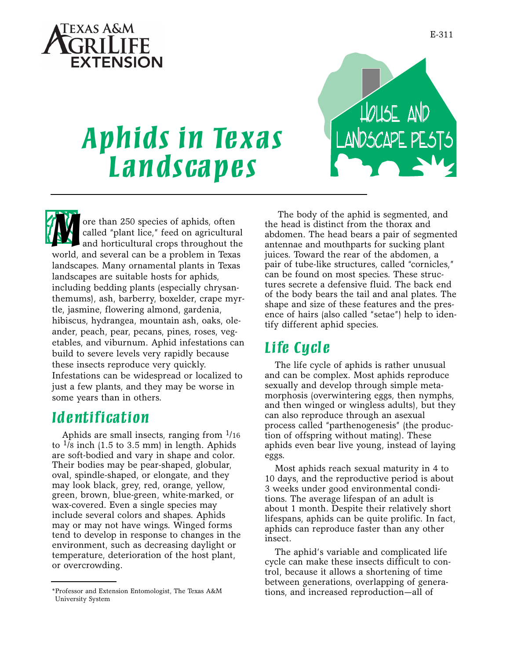

House and

LANUJCAYE PEJ | J

# *Aphids in Texas Landscapes*

**M** ore than 250 species of aphids, often called "plant lice," feed on agriculture and horticultural crops throughout the world, and several can be a problem in Texa called "plant lice," feed on agricultural and horticultural crops throughout the world, and several can be a problem in Texas landscapes. Many ornamental plants in Texas landscapes are suitable hosts for aphids, including bedding plants (especially chrysanthemums), ash, barberry, boxelder, crape myrtle, jasmine, flowering almond, gardenia, hibiscus, hydrangea, mountain ash, oaks, oleander, peach, pear, pecans, pines, roses, vegetables, and viburnum. Aphid infestations can build to severe levels very rapidly because these insects reproduce very quickly. Infestations can be widespread or localized to just a few plants, and they may be worse in some years than in others.

# *Id e ntification*

Aphids are small insects, ranging from  $\frac{1}{16}$ to  $\frac{1}{8}$  inch (1.5 to 3.5 mm) in length. Aphids are soft-bodied and vary in shape and color. Their bodies may be pear-shaped, globular, oval, spindle-shaped, or elongate, and they may look black, grey, red, orange, yellow, green, brown, blue-green, white-marked, or wax-covered. Even a single species may include several colors and shapes. Aphids may or may not have wings. Winged forms tend to develop in response to changes in the environment, such as decreasing daylight or temperature, deterioration of the host plant, or overcrowding.

The body of the aphid is segmented, and the head is distinct from the thorax and abdomen. The head bears a pair of segmented antennae and mouthparts for sucking plant juices. Toward the rear of the abdomen, a pair of tube-like structures, called "cornicles," can be found on most species. These structures secrete a defensive fluid. The back end of the body bears the tail and anal plates. The shape and size of these features and the presence of hairs (also called "setae") help to identify different aphid species.

# *Life Cycl e*

The life cycle of aphids is rather unusual and can be complex. Most aphids reproduce sexually and develop through simple metamorphosis (overwintering eggs, then nymphs, and then winged or wingless adults), but they can also reproduce through an asexual process called "parthenogenesis" (the production of offspring without mating). These aphids even bear live young, instead of laying eggs.

Most aphids reach sexual maturity in 4 to 10 days, and the reproductive period is about 3 weeks under good environmental conditions. The average lifespan of an adult is about 1 month. Despite their relatively short lifespans, aphids can be quite prolific. In fact, aphids can reproduce faster than any other insect.

The aphid's variable and complicated life cycle can make these insects difficult to control, because it allows a shortening of time between generations, overlapping of generations, and increased reproduction—all of

<sup>\*</sup>Professor and Extension Entomologist, The Texas A&M University System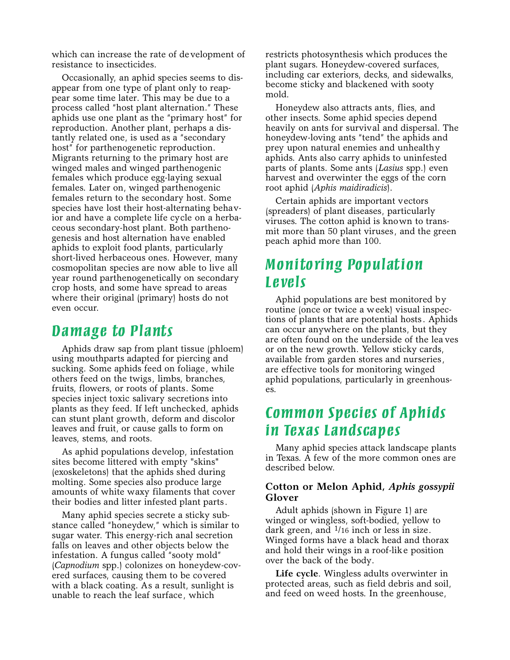which can increase the rate of development of resistance to insecticides.

Occasionally, an aphid species seems to disappear from one type of plant only to reappear some time later. This may be due to a process called "host plant alternation." These aphids use one plant as the "primary host" for reproduction. Another plant, perhaps a distantly related one, is used as a "secondary host" for parthenogenetic reproduction. Migrants returning to the primary host are winged males and winged parthenogenic females which produce egg-laying sexual females. Later on, winged parthenogenic females return to the secondary host. Some species have lost their host-alternating behavior and have a complete life cycle on a herbaceous secondary-host plant. Both parthenogenesis and host alternation have enabled aphids to exploit food plants, particularly short-lived herbaceous ones. However, many cosmopolitan species are now able to live all year round parthenogenetically on secondary crop hosts, and some have spread to areas where their original (primary) hosts do not even occur.

# *Damage to Plants*

Aphids draw sap from plant tissue (phloem) using mouthparts adapted for piercing and sucking. Some aphids feed on foliage, while others feed on the twigs, limbs, branches, fruits, flowers, or roots of plants. Some species inject toxic salivary secretions into plants as they feed. If left unchecked, aphids can stunt plant growth, deform and discolor leaves and fruit, or cause galls to form on leaves, stems, and roots.

As aphid populations develop, infestation sites become littered with empty "skins" (exoskeletons) that the aphids shed during molting. Some species also produce large amounts of white waxy filaments that cover their bodies and litter infested plant parts.

Many aphid species secrete a sticky substance called "honeydew," which is similar to sugar water. This energy-rich anal secretion falls on leaves and other objects below the infestation. A fungus called "sooty mold" (*Capnodium* spp.) colonizes on honeydew-covered surfaces, causing them to be covered with a black coating. As a result, sunlight is unable to reach the leaf surface, which

restricts photosynthesis which produces the plant sugars. Honeydew-covered surfaces, including car exteriors, decks, and sidewalks, become sticky and blackened with sooty mold.

Honeydew also attracts ants, flies, and other insects. Some aphid species depend heavily on ants for survival and dispersal. The honeydew-loving ants "tend" the aphids and prey upon natural enemies and unhealthy aphids. Ants also carry aphids to uninfested parts of plants. Some ants (*Lasius* spp.) even harvest and overwinter the eggs of the corn root aphid (*Aphis maidiradicis*).

Certain aphids are important vectors (spreaders) of plant diseases, particularly viruses. The cotton aphid is known to transmit more than 50 plant viruses, and the green peach aphid more than 100.

# *Monito ring Population Levels*

Aphid populations are best monitored by routine (once or twice a week) visual inspections of plants that are potential hosts. Aphids can occur anywhere on the plants, but they are often found on the underside of the lea ves or on the new growth. Yellow sticky cards, available from garden stores and nurseries, are effective tools for monitoring winged aphid populations, particularly in greenhouses.

# *Common Species of Aphids in Texas Landscapes*

Many aphid species attack landscape plants in Texas. A few of the more common ones are described below.

# **Cotton or Melon Aphid,** *Aphis gossypii* **Glover**

Adult aphids (shown in Figure 1) are winged or wingless, soft-bodied, yellow to dark green, and  $\frac{1}{16}$  inch or less in size. Winged forms have a black head and thorax and hold their wings in a roof-like position over the back of the body.

**Life cycle**. Wingless adults overwinter in protected areas, such as field debris and soil, and feed on weed hosts. In the greenhouse,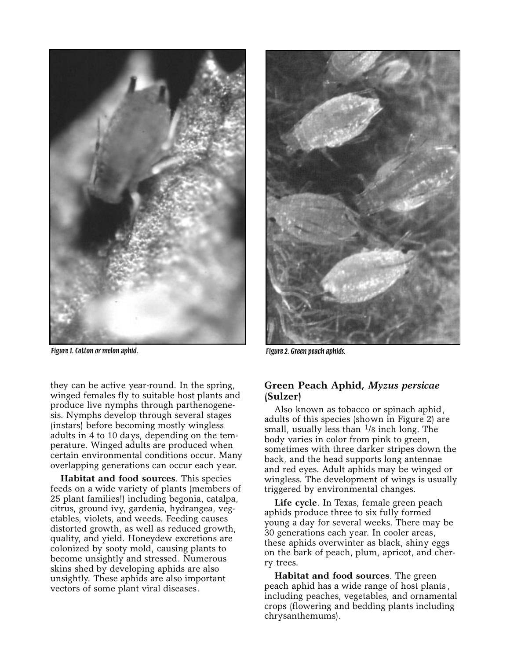

*Figure 1. Cotton or melon aphid. Figure 2. Green peach aphids.*

they can be active year-round. In the spring, winged females fly to suitable host plants and produce live nymphs through parthenogenesis. Nymphs develop through several stages (instars) before becoming mostly wingless adults in 4 to 10 days, depending on the temperature. Winged adults are produced when certain environmental conditions occur. Many overlapping generations can occur each year.

**Habitat and food sources**. This species feeds on a wide variety of plants (members of 25 plant families!) including begonia, catalpa, citrus, ground ivy, gardenia, hydrangea, vegetables, violets, and weeds. Feeding causes distorted growth, as well as reduced growth, quality, and yield. Honeydew excretions are colonized by sooty mold, causing plants to become unsightly and stressed. Numerous skins shed by developing aphids are also unsightly. These aphids are also important vectors of some plant viral diseases.



# **Green Peach Aphid,** *Myzus persicae* **(Sulzer)**

Also known as tobacco or spinach aphid, adults of this species (shown in Figure 2) are small, usually less than  $\frac{1}{8}$  inch long. The body varies in color from pink to green, sometimes with three darker stripes down the back, and the head supports long antennae and red eyes. Adult aphids may be winged or wingless. The development of wings is usually triggered by environmental changes.

**Life cycle**. In Texas, female green peach aphids produce three to six fully formed young a day for several weeks. There may be 30 generations each year. In cooler areas, these aphids overwinter as black, shiny eggs on the bark of peach, plum, apricot, and cherry trees.

**Habitat and food sources**. The green peach aphid has a wide range of host plants , including peaches, vegetables, and ornamental crops (flowering and bedding plants including chrysanthemums).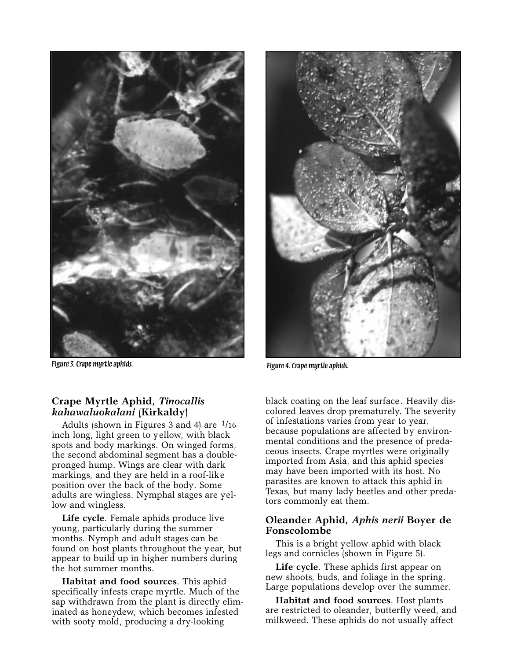

*Figure 3. Crape myrtle aphids. Figure 4. Crape myrtle aphids.*

# **Crape Myrtle Aphid,** *Tinocallis kahawaluokalani* **(Kirkaldy)**

Adults (shown in Figures 3 and 4) are  $\frac{1}{16}$ inch long, light green to yellow, with black spots and body markings. On winged forms, the second abdominal segment has a doublepronged hump. Wings are clear with dark markings, and they are held in a roof-like position over the back of the body. Some adults are wingless. Nymphal stages are yellow and wingless.

**Life cycle**. Female aphids produce live young, particularly during the summer months. Nymph and adult stages can be found on host plants throughout the year, but appear to build up in higher numbers during the hot summer months.

**Habitat and food sources**. This aphid specifically infests crape myrtle. Much of the sap withdrawn from the plant is directly eliminated as honeydew, which becomes infested with sooty mold, producing a dry-looking



black coating on the leaf surface. Heavily discolored leaves drop prematurely. The severity of infestations varies from year to year, because populations are affected by environmental conditions and the presence of predaceous insects. Crape myrtles were originally imported from Asia, and this aphid species may have been imported with its host. No parasites are known to attack this aphid in Texas, but many lady beetles and other predators commonly eat them.

# **Oleander Aphid,** *Aphis nerii* **Boyer de Fonscolombe**

This is a bright yellow aphid with black legs and cornicles (shown in Figure 5).

**Life cycle**. These aphids first appear on new shoots, buds, and foliage in the spring. Large populations develop over the summer.

**Habitat and food sources**. Host plants are restricted to oleander, butterfly weed, and milkweed. These aphids do not usually affect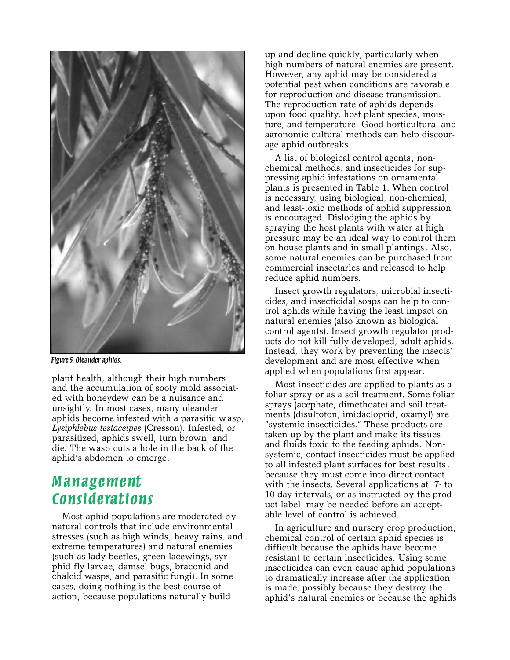

*Figure 5. Oleander aphids.*

plant health, although their high numbers and the accumulation of sooty mold associated with honeydew can be a nuisance and unsightly. In most cases, many oleander aphids become infested with a parasitic wasp, *Lysiphlebus testaceipes* (Cresson). Infested, or parasitized, aphids swell, turn brown, and die. The wasp cuts a hole in the back of the aphid's abdomen to emerge.

# *Management Considerations*

Most aphid populations are moderated by natural controls that include environmental stresses (such as high winds, heavy rains, and extreme temperatures) and natural enemies (such as lady beetles, green lacewings, syrphid fly larvae, damsel bugs, braconid and chalcid wasps, and parasitic fungi). In some cases, doing nothing is the best course of action, because populations naturally build

up and decline quickly, particularly when high numbers of natural enemies are present. However, any aphid may be considered a potential pest when conditions are favorable for reproduction and disease transmission. The reproduction rate of aphids depends upon food quality, host plant species, moisture, and temperature. Good horticultural and agronomic cultural methods can help discourage aphid outbreaks.

A list of biological control agents, nonchemical methods, and insecticides for suppressing aphid infestations on ornamental plants is presented in Table 1. When control is necessary, using biological, non-chemical, and least-toxic methods of aphid suppression is encouraged. Dislodging the aphids by spraying the host plants with water at high pressure may be an ideal way to control them on house plants and in small plantings. Also, some natural enemies can be purchased from commercial insectaries and released to help reduce aphid numbers.

Insect growth regulators, microbial insecticides, and insecticidal soaps can help to control aphids while having the least impact on natural enemies (also known as biological control agents). Insect growth regulator products do not kill fully developed, adult aphids. Instead, they work by preventing the insects' development and are most effective when applied when populations first appear.

Most insecticides are applied to plants as a foliar spray or as a soil treatment. Some foliar sprays (acephate, dimethoate) and soil treatments (disulfoton, imidacloprid, oxamyl) are "systemic insecticides." These products are taken up by the plant and make its tissues and fluids toxic to the feeding aphids. Nonsystemic, contact insecticides must be applied to all infested plant surfaces for best results, because they must come into direct contact with the insects. Several applications at 7- to 10-day intervals, or as instructed by the product label, may be needed before an acceptable level of control is achieved.

In agriculture and nursery crop production, chemical control of certain aphid species is difficult because the aphids have become resistant to certain insecticides. Using some insecticides can even cause aphid populations to dramatically increase after the application is made, possibly because they destroy the aphid's natural enemies or because the aphids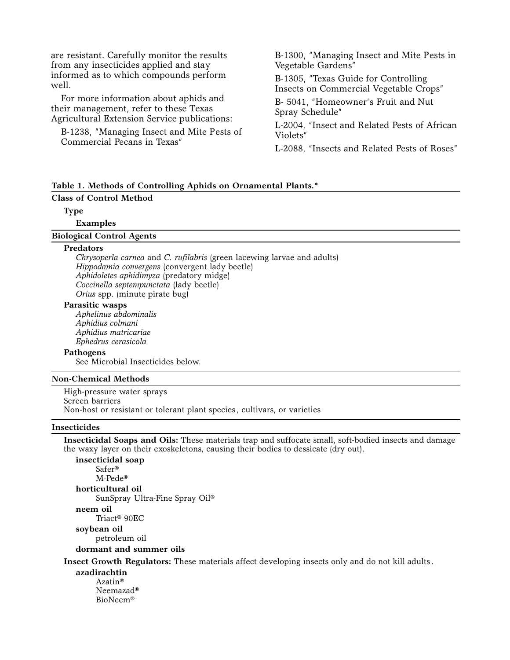| are resistant. Carefully monitor the results<br>from any insecticides applied and stay<br>informed as to which compounds perform<br>well. | B-1300, "Managing Insect and Mite Pests in<br>Vegetable Gardens"               |
|-------------------------------------------------------------------------------------------------------------------------------------------|--------------------------------------------------------------------------------|
|                                                                                                                                           | B-1305, "Texas Guide for Controlling<br>Insects on Commercial Vegetable Crops" |
| For more information about aphids and<br>their management, refer to these Texas<br>Agricultural Extension Service publications:           | B-5041, "Homeowner's Fruit and Nut<br>Spray Schedule"                          |
| B-1238, "Managing Insect and Mite Pests of<br>Commercial Pecans in Texas"                                                                 | L-2004, "Insect and Related Pests of African<br>Violets"                       |
|                                                                                                                                           | L-2088. "Insects and Related Pests of Roses"                                   |

## **Table 1. Methods of Controlling Aphids on Ornamental Plants.\***

## **Class of Control Method**

**Type**

**Examples**

#### **Biological Control Agents**

#### **Predators**

*Chrysoperla carnea* and *C. rufilabris* (green lacewing larvae and adults) *Hippodamia convergens* (convergent lady beetle) *Aphidoletes aphidimyza* (predatory midge) *Coccinella septempunctata* (lady beetle) *Orius* spp. (minute pirate bug)

## **Parasitic wasps**

*Aphelinus abdominalis Aphidius colmani Aphidius matricariae Ephedrus cerasicola*

### **Pathogens**

See Microbial Insecticides below.

# **Non-Chemical Methods**

High-pressure water sprays Screen barriers Non-host or resistant or tolerant plant species, cultivars, or varieties

## **Insecticides**

**Insecticidal Soaps and Oils:** These materials trap and suffocate small, soft-bodied insects and damage the waxy layer on their exoskeletons, causing their bodies to dessicate (dry out).

**insecticidal soap** Safer® M-Pede® **horticultural oil** SunSpray Ultra-Fine Spray Oil® **neem oil** Triact® 90EC **soybean oil** petroleum oil

**dormant and summer oils**

**Insect Growth Regulators:** These materials affect developing insects only and do not kill adults.

#### **azadirachtin**

Azatin® Neemazad® BioNeem®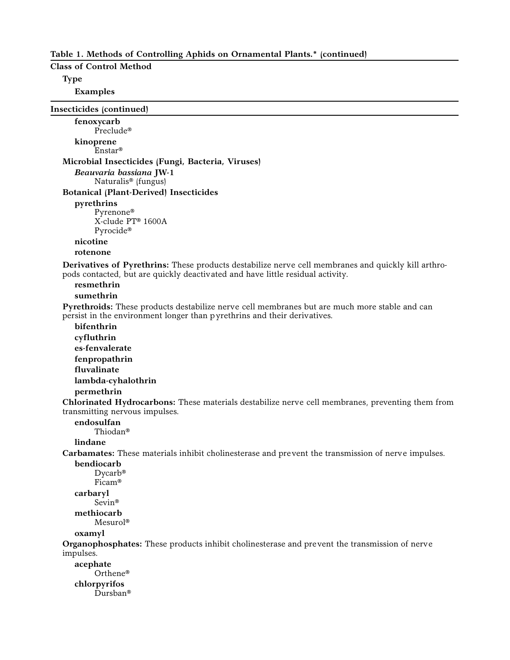## **Table 1. Methods of Controlling Aphids on Ornamental Plants.\* (continued)**

# **Class of Control Method**

**Type**

**Examples**

**Insecticides (continued) fenoxycarb**  Preclude® **kinoprene** Enstar® **Microbial Insecticides (Fungi, Bacteria, Viruses)** *Beauvaria bassiana* **JW-1** Naturalis® (fungus) **Botanical (Plant-Derived) Insecticides pyrethrins** Pyrenone® X-clude PT® 1600A Pyrocide® **nicotine rotenone Derivatives of Pyrethrins:** These products destabilize nerve cell membranes and quickly kill arthropods contacted, but are quickly deactivated and have little residual activity. **resmethrin sumethrin Pyrethroids:** These products destabilize nerve cell membranes but are much more stable and can persist in the environment longer than pyrethrins and their derivatives. **bifenthrin cyfluthrin es-fenvalerate fenpropathrin fluvalinate lambda-cyhalothrin permethrin Chlorinated Hydrocarbons:** These materials destabilize nerve cell membranes, preventing them from transmitting nervous impulses. **endosulfan** Thiodan® **lindane Carbamates:** These materials inhibit cholinesterase and prevent the transmission of nerve impulses. **bendiocarb** Dycarb® Ficam® **carbaryl** Sevin® **methiocarb** Mesurol® **oxamyl Organophosphates:** These products inhibit cholinesterase and prevent the transmission of nerve impulses. **acephate**  Orthene® **chlorpyrifos** Dursban®